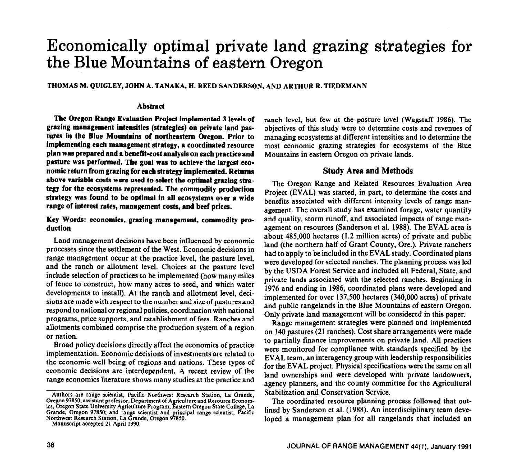# Economically optimal private land grazing strategies for the Blue Mountains of eastern Oregon

THOMAS M. QUIGLEY, JOHN A. TANAKA, H. REED SANDERSON, AND ARTHUR R. TIEDEMANN

#### **Abstract**

**The Oregon Range Evaluation Project implemented 3 levels of grazing management intensities (strategies) on private land pastures in the Blue Mountains of northeastern** Oregon. **Prior to implementing each management strategy, a coordinated resource plan was prepared and a benefit-cost analysis on each practice and pasture was performed. The goal was to achieve the largest economic return from grazing for each strategy implemented. Returns above variable costs were used to select the optimal grazing sfrategy for the ecosystems represented. The commodity production strategy was found to be optimal in all ecosystems over a wide range of interest rates, management costs, and beef prices.** 

## **Key Words: economics, grazing management, commodity production**

Land management decisions have been influenced by economic processes since the settlement of the West. Economic decisions in range management occur at the practice level, the pasture level, and the ranch or allotment level. Choices at the pasture level include selection of practices to be implemented (how many miles of fence to construct, how many acres to seed, and which water developments to install). At the ranch and allotment level, decisions are made with respect to the number and size of pastures and respond to national or regional policies, coordination with national programs, price supports, and establishment of fees. Ranches and allotments combined comprise the production system of a region or nation.

Broad policy decisions directly affect the economics of practice implementation. Economic decisions of investments are related to the economic well being of regions and nations. These types of economic decisions are interdependent. A recent review of the range economics literature shows many studies at the practice and ranch level, but few at the pasture level (Wagstaff 1986). The objectives of this study were to determine costs and revenues of managing ecosystems at different intensities and to determine the most economic grazing strategies for ecosystems of the Blue Mountains in eastern Oregon on private lands.

# **Study Area and Methods**

The Oregon Range and Related Resources Evaluation Area Project (EVAL) was started, in part, to determine the costs and benefits associated with different intensity levels of range management. The overall study has examined forage, water quantity and quality, storm runoff, and associated impacts of range management on resources (Sanderson et al. 1988). The EVAL area is about 485,000 hectares (1.2 million acres) of private and public land (the northern half of Grant County, Ore.). Private ranchers had to apply to be included in the EVAL study. Coordinated plans were developed for selected ranches. The planning process was led by the USDA Forest Service and included all Federal, State, and private lands associated with the selected ranches. Beginning in 1976 and ending in 1986, coordinated plans were developed and implemented for over 137,500 hectares (340,000 acres) of private and public rangelands in the Blue Mountains of eastern Oregon. Only private land management will be considered in this paper.

Range management strategies were planned and implemented on 140 pastures (21 ranches). Cost share arrangements were made to partially finance improvements on private land. All practices were monitored for compliance with standards specified by the EVAL team, an interagency group with leadership responsibilities for the EVAL project. Physical specifications were the same on all land ownerships and were developed with private landowners, agency planners, and the county committee for the Agricultural Stabilization and Conservation Service.

The coordinated resource planning process followed that outlined by Sanderson et al. (1988). An interdisciplinary team developed a management plan for all rangelands that included an

Authors are range scientist, Pacific Northwest Research Station, La Grande, Oregon 97850; assistant professor, Department of Agriculture and Resource Economics, Oregon State University Agriculture Program, Eastern Oregon State College, La Grande, Oregon 97850; and range scientist and principal range scientist, Pacific Northwest Research Station, La Grandc, Oregon 97850.

Manuscript accepted 21 April 1990.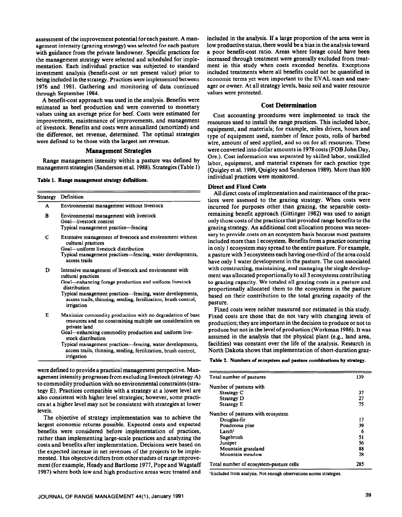1976 and 1981. Gathering and monitoring of data continued through September 1984. values were protected.

A benefit-cost approach was used in the analysis. Benefits were estimated as beef production and were converted to monetary values using an average price for beef. Costs were estimated for improvements, maintenance of improvements, and management of livestock. Benefits and costs were annualized (amortized) and the difference, net revenue, determined. The optimal strategies were defined to be those with the largest net revenue.

## **Management Strategies**

Range management intensity within a pasture was defined by management strategies (Sanderson et al. 1988). Strategies (Table 1)

#### **Table 1. Range management strategy definitions.**

| Strategy | Definition                                                                                                                                                                                                                                                                                                                                                            |
|----------|-----------------------------------------------------------------------------------------------------------------------------------------------------------------------------------------------------------------------------------------------------------------------------------------------------------------------------------------------------------------------|
| A        | Environmental management without livestock                                                                                                                                                                                                                                                                                                                            |
| B        | Environmental management with livestock<br>Goal-livestock control<br>Typical management practice—fencing                                                                                                                                                                                                                                                              |
| C        | Extensive management of livestock and environment without<br>cultural practices<br>Goal-uniform livestock distribution<br>Typical management practices—fencing, water developments,<br>access trails                                                                                                                                                                  |
| D        | Intensive management of livestock and environment with<br>cultural practices<br>Goal—enhancing forage production and uniform livestock<br>distribution<br>Typical management practices—fencing, water developments,<br>access trails, thinning, seeding, fertilization, brush control,<br>irrigation                                                                  |
| E        | Maximize commodity production with no degradation of base<br>resources and no constraining multiple use consideration on<br>private land<br>Goal-enhancing commodity production and uniform live-<br>stock distribution<br>Typical management practices—fencing, water developments,<br>access trails, thinning, seeding, fertilization, brush control,<br>irrigation |

were defined to provide a practical management perspective. Management intensity progresses from excluding livestock (strategy A) to commodity production with no environmental constraints (strategy E). Practices compatible with a strategy at a lower level are also consistent with higher level strategies; however, some practices at a higher level may not be consistent with strategies at lower levels.

The objective of strategy implementation was to achieve the largest economic returns possible. Expected costs and expected benefits were considered before implementation of practices, rather than implementing large-scale practices and analyzing the costs and benefits after implementation. Decisions were based on the expected increase in net revenues of the projects to be implemented. This objective differs from other studies of range improvement (for example, Heady and Bartlome 1977, Pope and Wagstaff 1987) where both low and high productive areas were treated and

assessment of the improvement potential for each pasture. A man-<br>a gement intensity (grazing strategy) was selected for each pasture low productive status, there would be a bias in the analysis toward agement intensity (grazing strategy) was selected for each pasture low productive status, there would be a bias in the analysis toward<br>with quidance from the private landowner. Specific practices for a poor benefit-cost ra with guidance from the private landowner. Specific practices for a poor benefit-cost ratio. Areas where forage could have been<br>the management strategy were selected and scheduled for imple-<br>increased through treatment were the management strategy were selected and scheduled for imple-<br>mentation. Each individual practice was subjected to standard ment in this study when costs exceeded benefits. Exceptions mentation. Each individual practice was subjected to standard ment in this study when costs exceeded benefits. Exceptions investment analysis (benefit-cost or net present value) prior to included treatments where all benef investment analysis (benefit-cost or net present value) prior to included treatments where all benefits could not be quantified in being included in the strategy. Practices were implemented between economic terms yet were important to the EVAL team and man-<br>1976 and 1981. Gathering and monitoring of data continued ager or owner. At all strategy levels

## **Cost Determination**

Cost accounting procedures were implemented to track the resources used to install the range practices. This included labor, equipment, and materials; for example, miles driven, hours and type of equipment used, number of fence posts, rolls of barbed wire, amount of seed applied, and so on for all resources. These were converted into dollar amounts in 1978 costs (FOB John Day, Ore.). Cost information was separated by skilled labor, unskilled labor, equipment, and material expenses for each practice type (Quigley et al. 1989, Quigley and Sanderson 1989). More than 800 individual practices were monitored.

#### Direct **and Fixed Costs**

All direct costs of implementation and maintenance of the pracces were assessed to the grazing strategy. When costs were incurred for purposes other than grazing, the separable costsmaining benefit approach (Gittinger 1982) was used to assign nly those costs of the practices that provided range benefits to the razing strategy. An additional cost allocation process was necesary to provide costs on an ecosystem basis because most pastures included more than 1 ecosystem. Benefits from a practice occurring only 1 ecosystem may spread to the entire pasture. For example, a pasture with 3 ecosystems each having one-third of the area could ave only 1 water development in the pasture. The cost associated with constructing, maintaining, and managing the single development was allocated proportionally to all 3 ecosystems contributing o grazing capacity. We totaled all grazing costs in a pasture and proportionally allocated them to the ecosystems in the pasture ased on their contribution to the total grazing capacity of the asture.

Fixed costs were neither measured nor estimated in this study. Fixed costs are those that do not vary with changing levels of production; they are important in the decision to produce or not to produce but not in the level of production (Workman 1986). It was ssumed in the analysis that the physical plant (e.g., land area, facilities) was constant over the life of the analysis. Research in Iorth Dakota shows that implementation of short-duration graz-

**Table 2. Numbers of ecosystem and pasture combinations by strategy.** 

| Total number of pastures                | 139 |
|-----------------------------------------|-----|
| Number of pastures with                 |     |
| Strategy C                              | 37  |
| Strategy D                              | 27  |
| Strategy E                              | 75  |
| Number of pastures with ecosystem       |     |
| Douglas-fir                             | 17  |
| Ponderosa pine                          | 39  |
| Larch!                                  | 6   |
| Sagebrush                               | 51  |
| Juniper                                 | 56  |
| Mountain grassland                      | 88  |
| Mountain meadow                         | 28  |
| Total number of ecosystem-pasture cells | 285 |

'Excluded **from analysis. Not enough observations across strategies.**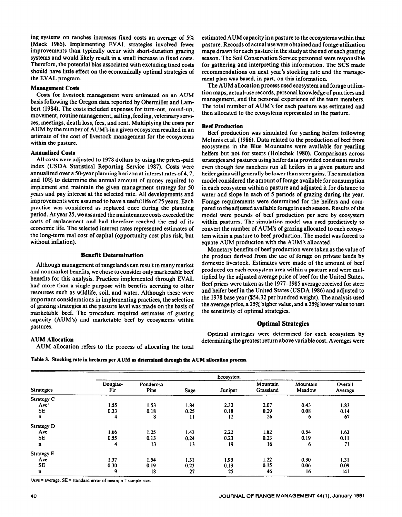ing systems on ranches increases fixed costs an average of 5% (Mack 1985). Implementing EVAL strategies involved fewer improvements than typically occur with short-duration grazing systems and would likely result in a small increase in fixed costs. Therefore, the potential bias associated with excluding fixed costs should have little effect on the economically optimal strategies of the EVAL program.

# **Management Costs**

Costs for livestock management were estimated on an AUM basis following the Oregon data reported by Obermiller and Lambert (1984). The costs included expenses for turn-out, round-up, movement, routine management, salting, feeding, veterinary services, meetings, death loss, fees, and rent. Multiplying the costs per AUM by the number of AUM's in a given ecosystem resulted in an estimate of the cost of livestock management for the ecosystems within the pasture.

## **Annualized Costs**

All costs were adjusted to 1978 dollars by using the prices-paid index (USDA Statistical Reporting Service 1987). Costs were annualized over a SO-year planning horizon at interest rates of 4,7, and 10% to determine the annual amount of money required to implement and maintain the given management strategy for 50 years and pay interest at the selected rate. All developments and improvements were assumed to have a useful life of 25 years. Each practice was considered as replaced once during the planning period. At year 25, we assumed the maintenance costs exceeded the costs of replacement and had therefore reached the end of its economic life. The selected interest rates represented estimates of the long-term real cost of capital (opportunity cost plus risk, but without inflation).

## **Benefit Determination**

Although management of rangelands can result in many market and nonmarket benefits, we chose to consider only marketable beef benefits for this analysis. Practices implemented through EVAL had more than a single purpose with benefits accruing to other resources such as wildlife, soil, and water. Although these were important considerations in implementing practices, the selection of grazing strategies at the pasture level was made on the basis of marketable beef. The procedure required estimates of grazing capacity (AUM's) and marketable beef by ecosystems within pastures.

estimated AUM capacity in a pasture to the ecosystems within that pasture. Records of actual use were obtained and forage utilization maps drawn for each pasture in the study at the end of each grazing season. The Soil Conservation Service personnel were responsible for gathering and interpreting this information. The SCS made recommendations on next year's stocking rate and the management plan was based, in part, on this information.

The AUM allocation process used ecosystem and forage utilization maps, actual-use records, personal knowledge of practices and management, and the personal experience of the team members. The total number of AUM's for each pasture was estimated and then allocated to the ecosystems represented in the pasture.

#### **Beef Production**

Beef production was simulated for yearling heifers following McInnis et al. (1986). Data related to the production of beef from ecosystems in the Blue Mountains were available for yearling heifers but not for steers (Holechek 1980). Comparisons across strategies and pastures using heifer data provided consistent results even though few ranchers run all heifers in a given pasture and heifer gains will generally be lower than steer gains. The simulation model considered the amount of forage available for consumption in each ecosystem within a pasture and adjusted it for distance to water and slope in each of 5 periods of grazing during the year. Forage requirements were determined for the heifers and compared to the adjusted available forage in each season. Results of the model were pounds of beef production per acre by ecosystem within pastures. The simulation model was used predictively to convert the number of AUM's of grazing allocated to each ecosystem within a pasture to beef production. The model was forced to equate AUM production with the AUM's allocated.

Monetary benefits of beef production were taken as the value of the product derived from the use of forage on private lands by domestic livestock. Estimates were made of the amount of beef produced on each ecosystem area within a pasture and were multiplied by the adjusted average price of beef for the United States. Beef prices were taken as the 1977-1985 average received for steer and heifer beef in the United States (USDA 1986) and adjusted to the 1978 base year (\$54.32 per hundred weight). The analysis used the average price, a 25% higher value, and a 25% lower value to test the sensitivity of optimal strategies.

# **Optimal Strategies**

## AUM **Allocation**

AUM allocation refers to the process of allocating the total

Optimal strategies were determined for each ecosystem by determining the greatest return above variable cost. Averages were

**Table 3. Stocking rate ln hectares per AUM as determined through the AUM allocation** process.

|                   |                 |                   |      | Ecosystem |                       |                    |                    |
|-------------------|-----------------|-------------------|------|-----------|-----------------------|--------------------|--------------------|
| <b>Strategies</b> | Douglas-<br>Fir | Ponderosa<br>Pine | Sage | Juniper   | Mountain<br>Grassland | Mountain<br>Meadow | Overall<br>Average |
| Strategy C        |                 |                   |      |           |                       |                    |                    |
| Avel              | 1.55            | 1.53              | 1.84 | 2.32      | 2.07                  | 0.43               | 1.83               |
| <b>SE</b>         | 0.33            | 0.18              | 0.25 | 0.18      | 0.29                  | 0.08               | 0.14               |
| n                 | 4               | 8                 | 11   | 12        | 26                    | 6                  | 67                 |
| Strategy D        |                 |                   |      |           |                       |                    |                    |
| Ave               | 1.66            | 1.25              | 1.43 | 2.22      | 1.82                  | 0.54               | 1.63               |
| <b>SE</b>         | 0.55            | 0.13              | 0.24 | 0.23      | 0.23                  | 0.19               | 0.11               |
| n                 | 4               | 13                | 13   | 19        | 16                    | 6                  | 71                 |
| Strategy E        |                 |                   |      |           |                       |                    |                    |
| Ave               | 1.37            | 1.54              | 1.31 | 1.93      | 1.22                  | 0.30               | 1.31               |
| <b>SE</b>         | 0.30            | 0.19              | 0.23 | 0.19      | 0.15                  | 0.06               | 0.09               |
| n                 | 9               | 18                | 27   | 25        | 46                    | 16                 | 141                |

'Aw q avenge; **SE = standard error of mean; n =** sample size.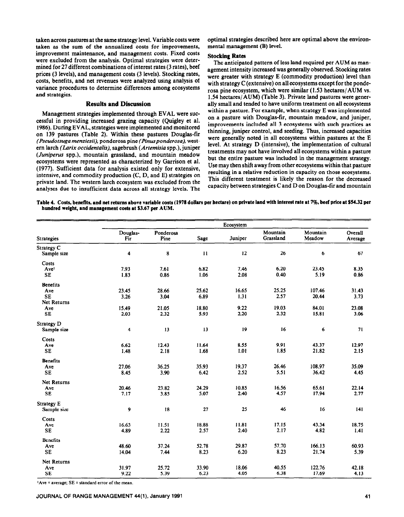taken across pastures at the same strategy level. Variable costs were taken as the sum of the annualized costs for improvements, improvement maintenance, and management costs. Fixed costs were excluded from the analysis. Optimal strategies were determined for 27 different combinations of interest rates (3 rates), beef prices (3 levels), and management costs (3 levels). Stocking rates, costs, benefits, and net revenues were analyzed using analysis of variance procedures to determine differences among ecosystems and strategies.

# **Results and Discussion**

Management strategies implemented through EVAL were successful in providing increased grazing capacity (Quigley et al. 1986). During EVAL, strategies were implemented and monitored on 139 pastures (Table 2). Within these pastures Douglas-fir *(Pseudotsuga menziesii),* ponderosa pine *(Pinusponderosa),* western larch *(Lurix occidentalis),* sagebrush *(Artemisia* spp.), juniper *(Juniperus* spp.), mountain grassland, and mountain meadow ecosystems were represented as characterized by Garrison et al. (1977). Sufficient data for analysis existed only for extensive, intensive, and commodity production (C, D, and E) strategies on private land. The western larch ecosystem was excluded from the analyses due to insufficient data across all strategy levels. The

optimal strategies described here are optimal above the environmental management (B) level.

#### **Stocking Rates**

**The** anticipated pattern of less land required per AUM as management intensity increased was generally observed. Stocking rates were greater with strategy E (commodity production) level than with strategy C (extensive) on all ecosystems except for the ponderosa pine ecosystem, which were similar (1.53 hectares/ AUM vs. 1.54 hectares/ AUM) (Table 3). Private land pastures were generally small and tended to have uniform treatment on all ecosystems within a pasture. For example, when strategy E was implemented on a pasture with Douglas-fir, mountain meadow, and jumper, improvements included all 3 ecosystems with such practices as thinning, juniper control, and seeding. Thus, increased capacities were generally noted in all ecosystems within pastures at the E level. At strategy D (intensive), the implementation of cultural treatments may not have involved all ecosystems within a pasture but the entire pasture was included in the management strategy. Use may then shift away from other ecosystems within that pasture resulting in a relative reduction in capacity on those ecosystems. This different treatment is likely the reason for the decreased capacity between strategies C and D on Douglas-fir and mountain

**Table 4. Costs, benefits, and net returns above variable costs (1978 dollars per hectare) on private land with interest rate at 7%, beef price at SS4.32 per hundred weight, and management costs at S3.67 per AUM.** 

|                           |                 |                   |               | Ecosystem |                       |                    |                    |
|---------------------------|-----------------|-------------------|---------------|-----------|-----------------------|--------------------|--------------------|
| Strategies                | Douglas-<br>Fir | Ponderosa<br>Pine | Sage          | Juniper   | Mountain<br>Grassland | Mountain<br>Meadow | Overall<br>Average |
| Strategy C<br>Sample size | 4               | 8                 | $\mathbf{11}$ | 12        | 26                    | 6                  | 67                 |
| Costs                     |                 |                   |               |           |                       |                    |                    |
| Ave <sup>1</sup>          | 7.93            | 7.61              | 6.82          | 7.46      | 6.20                  | 23.45              | 8.35               |
| <b>SE</b>                 | 1.83            | 0.86              | 1.06          | 2.08      | 0.40                  | 5.19               | 0.86               |
| <b>Benefits</b>           |                 |                   |               |           |                       |                    |                    |
| Ave                       | 23.45           | 28.66             | 25.62         | 16.65     | 25.25                 | 107.46             | 31.43              |
| <b>SE</b>                 | 3.26            | 3.04              | 6.89          | 1.31      | 2.57                  | 20.44              | 3.73               |
| Net Returns               |                 |                   |               |           |                       |                    |                    |
| Ave                       | 15.49           | 21.05             | 18.80         | 9.22      | 19.03                 | 84.01              | 23.08              |
| <b>SE</b>                 | 2.03            | 2.32              | 5.93          | 2.20      | 2.32                  | 15.81              | 3.06               |
| Strategy D                |                 |                   |               |           |                       |                    |                    |
| Sample size               | 4               | 13                | 13            | 19        | 16                    | 6                  | 71                 |
| Costs                     |                 |                   |               |           |                       |                    |                    |
| Ave                       | 6.62            | 12.43             | 11.64         | 8.55      | 9.91                  | 43.37              | 12.97              |
| <b>SE</b>                 | 1.48            | 2.18              | 1.68          | 1.01      | 1.85                  | 21.82              | 2.15               |
| <b>Benefits</b>           |                 |                   |               |           |                       |                    |                    |
| Ave                       | 27.06           | 36.25             | 35.93         | 19.37     | 26.46                 | 108.97             | 35.09              |
| <b>SE</b>                 | 8.45            | 3.90              | 6.42          | 2.52      | 5.51                  | 36.42              | 4.45               |
| Net Returns               |                 |                   |               |           |                       |                    |                    |
| Ave                       | 20.46           | 23.82             | 24.29         | 10.85     | 16.56                 | 65.61              | 22.14              |
| <b>SE</b>                 | 7.17            | 3.85              | 5.07          | 2.40      | 4.57                  | 17.94              | 2.77               |
| Strategy E                |                 |                   |               |           |                       |                    |                    |
| Sample size               | 9               | 18                | 27            | 25        | 46                    | 16                 | 141                |
| Costs                     |                 |                   |               |           |                       |                    |                    |
| Ave                       | 16.63           | 11.51             | 18.88         | 11.81     | 17.15                 | 43.34              | 18.75              |
| <b>SE</b>                 | 4.89            | 2.22              | 2.57          | 2.40      | 2.17                  | 4.82               | 1.41               |
| <b>Benefits</b>           |                 |                   |               |           |                       |                    |                    |
| Ave                       | 48.60           | 37.24             | 52.78         | 29.87     | 57.70                 | 166.13             | 60.93              |
| <b>SE</b>                 | 14.04           | 7.44              | 8.23          | 6.20      | 8.23                  | 21.74              | 5.39               |
| <b>Net Returns</b>        |                 |                   |               |           |                       |                    |                    |
| Ave                       | 31.97           | 25.72             | 33.90         | 18.06     | 40.55                 | 122.76             | 42.18              |
| <b>SE</b>                 | 9.22            | 5.39              | 6.23          | 4.05      | 6.38                  | 17.69              | 4.13               |

'Ave = average; SE = standard error of the mean.